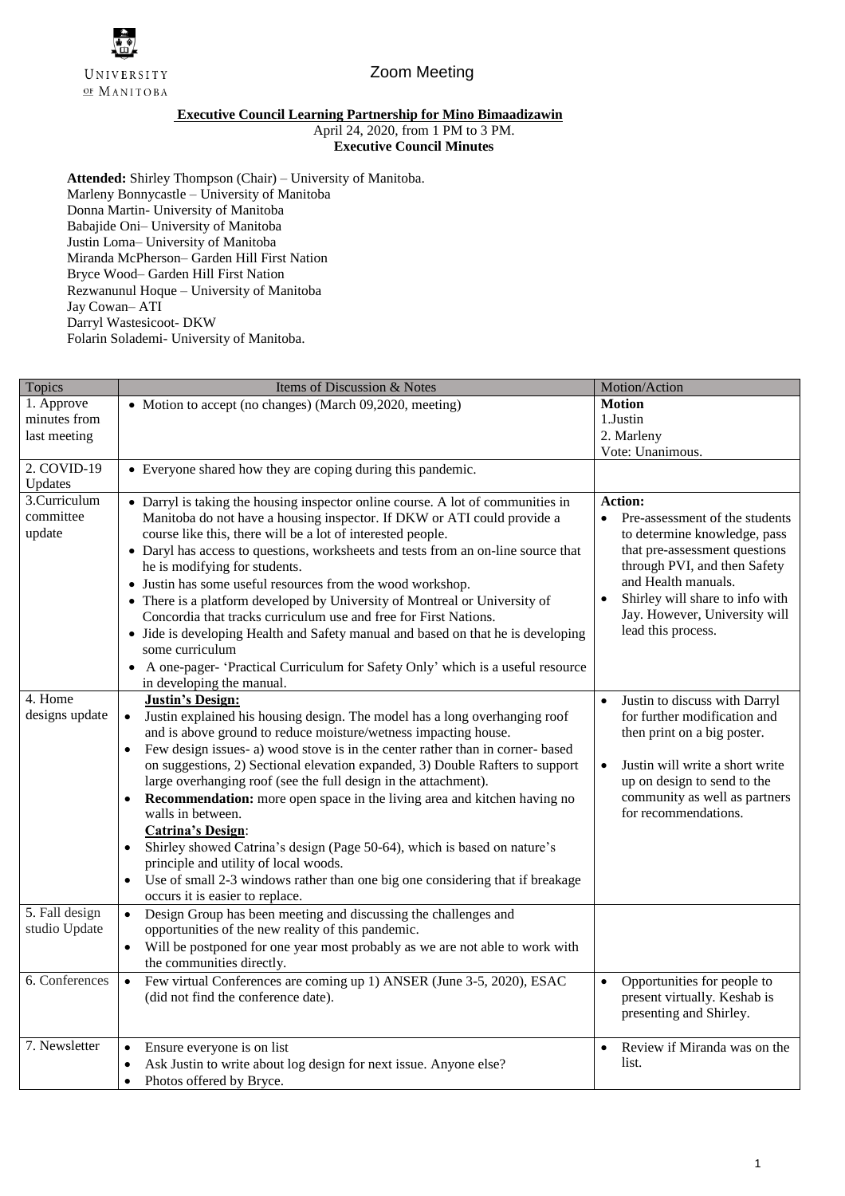

## Zoom Meeting

## **Executive Council Learning Partnership for Mino Bimaadizawin**

April 24, 2020, from 1 PM to 3 PM.

**Executive Council Minutes** 

**Attended:** Shirley Thompson (Chair) – University of Manitoba. Marleny Bonnycastle – University of Manitoba Donna Martin- University of Manitoba Babajide Oni– University of Manitoba Justin Loma– University of Manitoba Miranda McPherson– Garden Hill First Nation Bryce Wood– Garden Hill First Nation Rezwanunul Hoque – University of Manitoba Jay Cowan– ATI Darryl Wastesicoot- DKW Folarin Solademi- University of Manitoba.

| Topics                              | Items of Discussion & Notes                                                                                                                                                                                                                                                                                                                                                                                                                                                                                                                                                                                                                                                                                                                                | Motion/Action                                                                                                                                                                                                                                                                        |
|-------------------------------------|------------------------------------------------------------------------------------------------------------------------------------------------------------------------------------------------------------------------------------------------------------------------------------------------------------------------------------------------------------------------------------------------------------------------------------------------------------------------------------------------------------------------------------------------------------------------------------------------------------------------------------------------------------------------------------------------------------------------------------------------------------|--------------------------------------------------------------------------------------------------------------------------------------------------------------------------------------------------------------------------------------------------------------------------------------|
| 1. Approve                          | • Motion to accept (no changes) (March 09,2020, meeting)                                                                                                                                                                                                                                                                                                                                                                                                                                                                                                                                                                                                                                                                                                   | <b>Motion</b>                                                                                                                                                                                                                                                                        |
| minutes from                        |                                                                                                                                                                                                                                                                                                                                                                                                                                                                                                                                                                                                                                                                                                                                                            | 1.Justin                                                                                                                                                                                                                                                                             |
| last meeting                        |                                                                                                                                                                                                                                                                                                                                                                                                                                                                                                                                                                                                                                                                                                                                                            | 2. Marleny                                                                                                                                                                                                                                                                           |
|                                     |                                                                                                                                                                                                                                                                                                                                                                                                                                                                                                                                                                                                                                                                                                                                                            | Vote: Unanimous.                                                                                                                                                                                                                                                                     |
| 2. COVID-19<br>Updates              | • Everyone shared how they are coping during this pandemic.                                                                                                                                                                                                                                                                                                                                                                                                                                                                                                                                                                                                                                                                                                |                                                                                                                                                                                                                                                                                      |
| 3.Curriculum<br>committee<br>update | • Darryl is taking the housing inspector online course. A lot of communities in<br>Manitoba do not have a housing inspector. If DKW or ATI could provide a<br>course like this, there will be a lot of interested people.<br>• Daryl has access to questions, worksheets and tests from an on-line source that<br>he is modifying for students.<br>• Justin has some useful resources from the wood workshop.<br>• There is a platform developed by University of Montreal or University of<br>Concordia that tracks curriculum use and free for First Nations.<br>• Jide is developing Health and Safety manual and based on that he is developing<br>some curriculum<br>• A one-pager- 'Practical Curriculum for Safety Only' which is a useful resource | <b>Action:</b><br>Pre-assessment of the students<br>٠<br>to determine knowledge, pass<br>that pre-assessment questions<br>through PVI, and then Safety<br>and Health manuals.<br>Shirley will share to info with<br>$\bullet$<br>Jay. However, University will<br>lead this process. |
|                                     | in developing the manual.                                                                                                                                                                                                                                                                                                                                                                                                                                                                                                                                                                                                                                                                                                                                  |                                                                                                                                                                                                                                                                                      |
| 4. Home                             | <b>Justin's Design:</b>                                                                                                                                                                                                                                                                                                                                                                                                                                                                                                                                                                                                                                                                                                                                    | Justin to discuss with Darryl<br>$\bullet$                                                                                                                                                                                                                                           |
| designs update                      | Justin explained his housing design. The model has a long overhanging roof<br>$\bullet$<br>and is above ground to reduce moisture/wetness impacting house.                                                                                                                                                                                                                                                                                                                                                                                                                                                                                                                                                                                                 | for further modification and<br>then print on a big poster.                                                                                                                                                                                                                          |
|                                     | Few design issues- a) wood stove is in the center rather than in corner-based<br>$\bullet$<br>on suggestions, 2) Sectional elevation expanded, 3) Double Rafters to support<br>large overhanging roof (see the full design in the attachment).<br><b>Recommendation:</b> more open space in the living area and kitchen having no<br>$\bullet$<br>walls in between.                                                                                                                                                                                                                                                                                                                                                                                        | Justin will write a short write<br>$\bullet$<br>up on design to send to the<br>community as well as partners<br>for recommendations.                                                                                                                                                 |
|                                     | <b>Catrina's Design:</b><br>Shirley showed Catrina's design (Page 50-64), which is based on nature's<br>$\bullet$                                                                                                                                                                                                                                                                                                                                                                                                                                                                                                                                                                                                                                          |                                                                                                                                                                                                                                                                                      |
|                                     | principle and utility of local woods.<br>Use of small 2-3 windows rather than one big one considering that if breakage<br>$\bullet$<br>occurs it is easier to replace.                                                                                                                                                                                                                                                                                                                                                                                                                                                                                                                                                                                     |                                                                                                                                                                                                                                                                                      |
| 5. Fall design                      | Design Group has been meeting and discussing the challenges and<br>$\bullet$                                                                                                                                                                                                                                                                                                                                                                                                                                                                                                                                                                                                                                                                               |                                                                                                                                                                                                                                                                                      |
| studio Update                       | opportunities of the new reality of this pandemic.                                                                                                                                                                                                                                                                                                                                                                                                                                                                                                                                                                                                                                                                                                         |                                                                                                                                                                                                                                                                                      |
|                                     | Will be postponed for one year most probably as we are not able to work with<br>$\bullet$<br>the communities directly.                                                                                                                                                                                                                                                                                                                                                                                                                                                                                                                                                                                                                                     |                                                                                                                                                                                                                                                                                      |
| 6. Conferences                      | Few virtual Conferences are coming up 1) ANSER (June 3-5, 2020), ESAC<br>$\bullet$<br>(did not find the conference date).                                                                                                                                                                                                                                                                                                                                                                                                                                                                                                                                                                                                                                  | Opportunities for people to<br>$\bullet$<br>present virtually. Keshab is<br>presenting and Shirley.                                                                                                                                                                                  |
| 7. Newsletter                       | Ensure everyone is on list<br>$\bullet$                                                                                                                                                                                                                                                                                                                                                                                                                                                                                                                                                                                                                                                                                                                    | Review if Miranda was on the                                                                                                                                                                                                                                                         |
|                                     | Ask Justin to write about log design for next issue. Anyone else?<br>$\bullet$                                                                                                                                                                                                                                                                                                                                                                                                                                                                                                                                                                                                                                                                             | list.                                                                                                                                                                                                                                                                                |
|                                     | Photos offered by Bryce.<br>$\bullet$                                                                                                                                                                                                                                                                                                                                                                                                                                                                                                                                                                                                                                                                                                                      |                                                                                                                                                                                                                                                                                      |
|                                     |                                                                                                                                                                                                                                                                                                                                                                                                                                                                                                                                                                                                                                                                                                                                                            |                                                                                                                                                                                                                                                                                      |